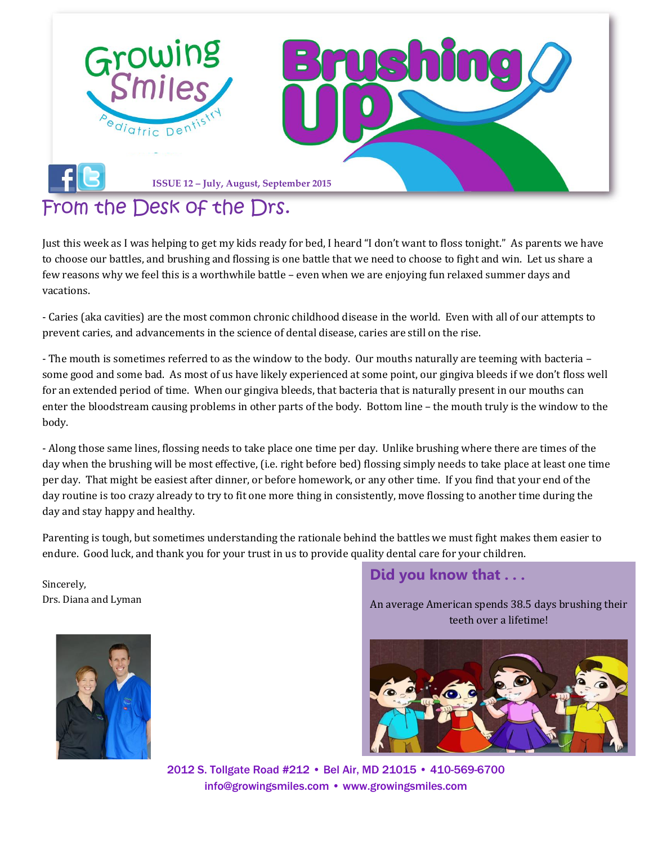

### [From the Desk of the Drs.](file:///C:/Users/user.DENTAL/Desktop/Newsletter/facebook)

Just this week as I was helping to get my kids ready for bed, I heard "I don't want to floss tonight." As parents we have to choose our battles, and brushing and flossing is one battle that we need to choose to fight and win. Let us share a few reasons why we feel this is a worthwhile battle – even when we are enjoying fun relaxed summer days and vacations.

- Caries (aka cavities) are the most common chronic childhood disease in the world. Even with all of our attempts to prevent caries, and advancements in the science of dental disease, caries are still on the rise.

- The mouth is sometimes referred to as the window to the body. Our mouths naturally are teeming with bacteria – some good and some bad. As most of us have likely experienced at some point, our gingiva bleeds if we don't floss well for an extended period of time. When our gingiva bleeds, that bacteria that is naturally present in our mouths can enter the bloodstream causing problems in other parts of the body. Bottom line – the mouth truly is the window to the body.

- Along those same lines, flossing needs to take place one time per day. Unlike brushing where there are times of the day when the brushing will be most effective, (i.e. right before bed) flossing simply needs to take place at least one time per day. That might be easiest after dinner, or before homework, or any other time. If you find that your end of the day routine is too crazy already to try to fit one more thing in consistently, move flossing to another time during the day and stay happy and healthy.

Parenting is tough, but sometimes understanding the rationale behind the battles we must fight makes them easier to endure. Good luck, and thank you for your trust in us to provide quality dental care for your children.

Sincerely, Drs. Diana and Lyman



### **Did you know that . . .**

An average American spends 38.5 days brushing their teeth over a lifetime!



2012 S. Tollgate Road #212 • Bel Air, MD 21015 • 410-569-6700 [info@growingsmiles.com](mailto:info@growingsmiles.com) • [www.growingsmiles.com](http://www.growingsmiles.com/)